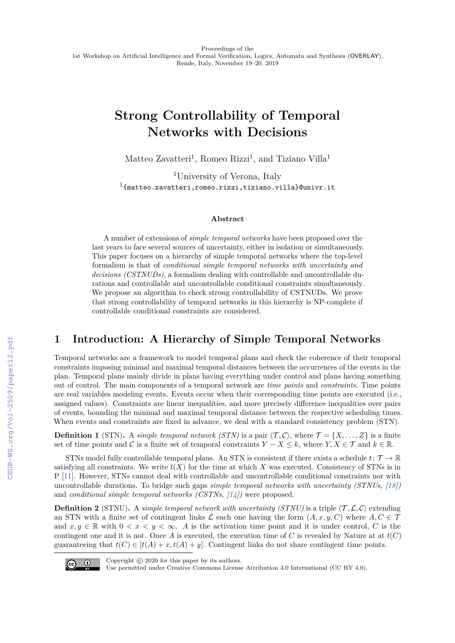# **Strong Controllability of Temporal Networks with Decisions**

Matteo Zavatteri<sup>1</sup>, Romeo Rizzi<sup>1</sup>, and Tiziano Villa<sup>1</sup>

<sup>1</sup>University of Verona, Italy  $^{1}$ {matteo.zavatteri,romeo.rizzi,tiziano.villa}@univr.it

#### **Abstract**

A number of extensions of *simple temporal networks* have been proposed over the last years to face several sources of uncertainty, either in isolation or simultaneously. This paper focuses on a hierarchy of simple temporal networks where the top-level formalism is that of *conditional simple temporal networks with uncertainty and decisions (CSTNUDs)*, a formalism dealing with controllable and uncontrollable durations and controllable and uncontrollable conditional constraints simultaneously. We propose an algorithm to check strong controllability of CSTNUDs. We prove that strong controllability of temporal networks in this hierarchy is NP-complete if controllable conditional constraints are considered.

### **1 Introduction: A Hierarchy of Simple Temporal Networks**

Temporal networks are a framework to model temporal plans and check the coherence of their temporal constraints imposing minimal and maximal temporal distances between the occurrences of the events in the plan. Temporal plans mainly divide in plans having everything under control and plans having something out of control. The main components of a temporal network are *time points* and *constraints*. Time points are real variables modeling events. Events occur when their corresponding time points are executed (i.e., assigned values). Constraints are linear inequalities, and more precisely difference inequalities over pairs of events, bounding the minimal and maximal temporal distance between the respective scheduling times. When events and constraints are fixed in advance, we deal with a standard consistency problem (STN).

**Definition 1** (STN). A *simple temporal network (STN)* is a pair  $\langle \mathcal{T}, \mathcal{C} \rangle$ , where  $\mathcal{T} = \{X, \ldots, Z\}$  is a finite set of time points and C is a finite set of temporal constraints  $Y - X \leq k$ , where  $Y, X \in \mathcal{T}$  and  $k \in \mathbb{R}$ .

STNs model fully controllable temporal plans. An STN is consistent if there exists a schedule  $t: \mathcal{T} \to \mathbb{R}$ satisfying all constraints. We write  $t(X)$  for the time at which X was executed. Consistency of STNs is in P [\[11\]](#page--1-0). However, STNs cannot deal with controllable and uncontrollable conditional constraints nor with uncontrollable durations. To bridge such gaps *simple temporal networks with uncertainty (STNUs, [\[18\]](#page--1-1)* and *conditional simple temporal networks (CSTNs, [\[14\]](#page--1-2)*) were proposed.

**Definition 2** (STNU). A *simple temporal network with uncertainty (STNU)* is a triple  $\langle \mathcal{T}, \mathcal{L}, \mathcal{C} \rangle$  extending an STN with a finite set of contingent links  $\mathcal L$  each one having the form  $(A, x, y, C)$  where  $A, C \in \mathcal T$ and  $x, y \in \mathbb{R}$  with  $0 < x < y < \infty$ . A is the activation time point and it is under control, C is the contingent one and it is not. Once A is executed, the execution time of C is revealed by Nature at at  $t(C)$ guaranteeing that  $t(C) \in [t(A) + x, t(A) + y]$ . Contingent links do not share contingent time points.



Copyright  $\odot$  2020 for this paper by its authors.

Use permitted under Creative Commons License Attribution 4.0 International (CC BY 4.0).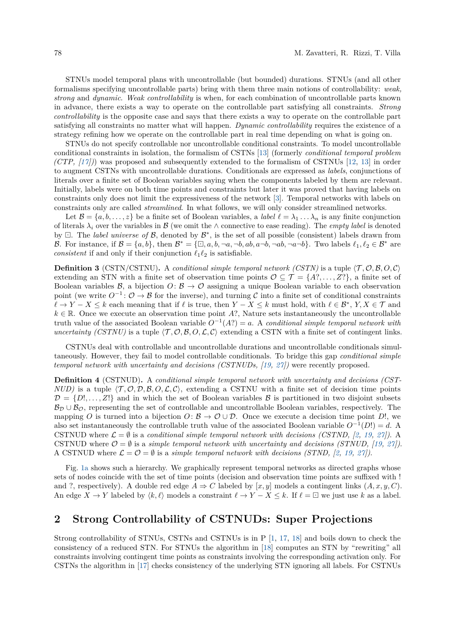STNUs model temporal plans with uncontrollable (but bounded) durations. STNUs (and all other formalisms specifying uncontrollable parts) bring with them three main notions of controllability: *weak, strong* and *dynamic*. *Weak controllability* is when, for each combination of uncontrollable parts known in advance, there exists a way to operate on the controllable part satisfying all constraints. *Strong controllability* is the opposite case and says that there exists a way to operate on the controllable part satisfying all constraints no matter what will happen. *Dynamic controllability* requires the existence of a strategy refining how we operate on the controllable part in real time depending on what is going on.

STNUs do not specify controllable nor uncontrollable conditional constraints. To model uncontrollable conditional constraints in isolation, the formalism of CSTNs [\[13\]](#page-5-0) (formerly *conditional temporal problem (CTP, [\[17\]](#page-5-1))*) was proposed and subsequently extended to the formalism of CSTNUs [\[12,](#page-5-2) [13\]](#page-5-0) in order to augment CSTNs with uncontrollable durations. Conditionals are expressed as *labels*, conjunctions of literals over a finite set of Boolean variables saying when the components labeled by them are relevant. Initially, labels were on both time points and constraints but later it was proved that having labels on constraints only does not limit the expressiveness of the network [\[3\]](#page-4-0). Temporal networks with labels on constraints only are called *streamlined*. In what follows, we will only consider streamlined networks.

Let  $\mathcal{B} = \{a, b, \ldots, z\}$  be a finite set of Boolean variables, a *label*  $\ell = \lambda_1 \ldots \lambda_n$  is any finite conjunction of literals  $\lambda_i$  over the variables in B (we omit the  $\wedge$  connective to ease reading). The *empty label* is denoted by  $\Box$ . The *label universe of*  $\mathcal{B}$ , denoted by  $\mathcal{B}^*$ , is the set of all possible (consistent) labels drawn from B. For instance, if  $\mathcal{B} = \{a, b\}$ , then  $\mathcal{B}^* = \{\Box, a, b, \neg a, \neg b, ab, a\neg b, \neg a, \neg b, \neg a, \neg b\}$ . Two labels  $\ell_1, \ell_2 \in \mathcal{B}^*$  are *consistent* if and only if their conjunction  $\ell_1 \ell_2$  is satisfiable.

**Definition 3** (CSTN/CSTNU). A *conditional simple temporal network (CSTN)* is a tuple  $\langle \mathcal{T}, \mathcal{O}, \mathcal{B}, O, \mathcal{C} \rangle$ extending an STN with a finite set of observation time points  $\mathcal{O} \subseteq \mathcal{T} = \{A^2, \ldots, Z^2\}$ , a finite set of Boolean variables B, a bijection  $O: \mathcal{B} \to \mathcal{O}$  assigning a unique Boolean variable to each observation point (we write  $O^{-1}$ :  $\mathcal{O} \to \mathcal{B}$  for the inverse), and turning  $\mathcal{C}$  into a finite set of conditional constraints  $\ell \to Y - X \leq k$  each meaning that if  $\ell$  is true, then  $Y - X \leq k$  must hold, with  $\ell \in \mathcal{B}^*, Y, X \in \mathcal{T}$  and  $k \in \mathbb{R}$ . Once we execute an observation time point *A*?, Nature sets instantaneously the uncontrollable truth value of the associated Boolean variable  $O^{-1}(A?) = a$ . A *conditional simple temporal network with uncertainty (CSTNU)* is a tuple  $\langle \mathcal{T}, \mathcal{O}, \mathcal{B}, O, \mathcal{L}, \mathcal{C} \rangle$  extending a CSTN with a finite set of contingent links.

CSTNUs deal with controllable and uncontrollable durations and uncontrollable conditionals simultaneously. However, they fail to model controllable conditionals. To bridge this gap *conditional simple temporal network with uncertainty and decisions (CSTNUDs, [\[19,](#page-5-3) [27\]](#page-5-4))* were recently proposed.

**Definition 4** (CSTNUD)**.** A *conditional simple temporal network with uncertainty and decisions (CST-NUD)* is a tuple  $\langle \mathcal{T}, \mathcal{O}, \mathcal{D}, \mathcal{B}, \mathcal{O}, \mathcal{L}, \mathcal{C} \rangle$ , extending a CSTNU with a finite set of decision time points  $\mathcal{D} = \{D^1, \ldots, Z^1\}$  and in which the set of Boolean variables B is partitioned in two disjoint subsets  $B_{\mathcal{D}} \cup B_{\mathcal{O}}$ , representing the set of controllable and uncontrollable Boolean variables, respectively. The mapping *O* is turned into a bijection  $O: \mathcal{B} \to \mathcal{O} \cup \mathcal{D}$ . Once we execute a decision time point *D*!, we also set instantaneously the controllable truth value of the associated Boolean variable  $O^{-1}(D!) = d$ . A CSTNUD where  $\mathcal{L} = \emptyset$  is a *conditional simple temporal network with decisions (CSTND, [\[2,](#page-4-1) [19,](#page-5-3) [27\]](#page-5-4)*). A CSTNUD where  $\mathcal{O} = \emptyset$  is a *simple temporal network with uncertainty and decisions (STNUD, [\[19,](#page-5-3) [27\]](#page-5-4)*). A CSTNUD where  $\mathcal{L} = \mathcal{O} = \emptyset$  is a *simple temporal network with decisions (STND, [\[2,](#page-4-1) [19,](#page-5-3) [27\]](#page-5-4))*.

Fig. [1a](#page-2-0) shows such a hierarchy. We graphically represent temporal networks as directed graphs whose sets of nodes coincide with the set of time points (decision and observation time points are suffixed with ! and ?, respectively). A double red edge  $A \Rightarrow C$  labeled by [*x, y*] models a contingent links  $(A, x, y, C)$ . An edge  $X \to Y$  labeled by  $\langle k, \ell \rangle$  models a constraint  $\ell \to Y - X \leq k$ . If  $\ell = \square$  we just use k as a label.

## **2 Strong Controllability of CSTNUDs: Super Projections**

Strong controllability of STNUs, CSTNs and CSTNUs is in P [\[1,](#page-4-2) [17,](#page-5-1) [18\]](#page-5-5) and boils down to check the consistency of a reduced STN. For STNUs the algorithm in [\[18\]](#page-5-5) computes an STN by "rewriting" all constraints involving contingent time points as constraints involving the corresponding activation only. For CSTNs the algorithm in [\[17\]](#page-5-1) checks consistency of the underlying STN ignoring all labels. For CSTNUs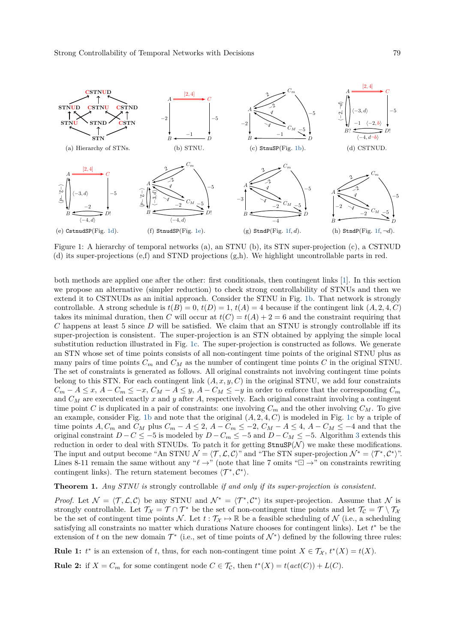<span id="page-2-5"></span><span id="page-2-3"></span><span id="page-2-2"></span><span id="page-2-1"></span><span id="page-2-0"></span>

<span id="page-2-8"></span><span id="page-2-7"></span><span id="page-2-4"></span>Figure 1: A hierarchy of temporal networks (a), an STNU (b), its STN super-projection (c), a CSTNUD (d) its super-projections (e,f) and STND projections (g,h). We highlight uncontrollable parts in red.

both methods are applied one after the other: first conditionals, then contingent links [\[1\]](#page-4-2). In this section we propose an alternative (simpler reduction) to check strong controllability of STNUs and then we extend it to CSTNUDs as an initial approach. Consider the STNU in Fig. [1b.](#page-2-1) That network is strongly controllable. A strong schedule is  $t(B) = 0$ ,  $t(D) = 1$ ,  $t(A) = 4$  because if the contingent link  $(A, 2, 4, C)$ takes its minimal duration, then *C* will occur at  $t(C) = t(A) + 2 = 6$  and the constraint requiring that *C* happens at least 5 since *D* will be satisfied. We claim that an STNU is strongly controllable iff its super-projection is consistent. The super-projection is an STN obtained by applying the simple local substitution reduction illustrated in Fig. [1c.](#page-2-5) The super-projection is constructed as follows. We generate an STN whose set of time points consists of all non-contingent time points of the original STNU plus as many pairs of time points  $C_m$  and  $C_M$  as the number of contingent time points  $C$  in the original STNU. The set of constraints is generated as follows. All original constraints not involving contingent time points belong to this STN. For each contingent link  $(A, x, y, C)$  in the original STNU, we add four constraints  $C_m - A \leq x, A - C_m \leq -x, C_M - A \leq y, A - C_M \leq -y$  in order to enforce that the corresponding  $C_m$ and *C<sup>M</sup>* are executed exactly *x* and *y* after *A*, respectively. Each original constraint involving a contingent time point *C* is duplicated in a pair of constraints: one involving  $C_m$  and the other involving  $C_M$ . To give an example, consider Fig. [1b](#page-2-1) and note that the original  $(A, 2, 4, C)$  is modeled in Fig. [1c](#page-2-5) by a triple of time points  $A, C_m$  and  $C_M$  plus  $C_m - A \leq 2$ ,  $A - C_m \leq -2$ ,  $C_M - A \leq 4$ ,  $A - C_M \leq -4$  and that the original constraint  $D - C \le -5$  is modeled by  $D - C_m \le -5$  and  $D - C_M \le -5$ . Algorithm [3](#page-3-0) extends this reduction in order to deal with STNUDs. To patch it for getting  $\text{StnuSP}(\mathcal{N})$  we make these modifications. The input and output become "An STNU  $\mathcal{N} = \langle \mathcal{T}, \mathcal{L}, \mathcal{C} \rangle$ " and "The STN super-projection  $\mathcal{N}^* = \langle \mathcal{T}^*, \mathcal{C}^* \rangle$ ". Lines 8-11 remain the same without any " $\ell \rightarrow$ " (note that line 7 omits " $\Box \rightarrow$ " on constraints rewriting contingent links). The return statement becomes  $\langle T^*, \mathcal{C}^* \rangle$ .

<span id="page-2-6"></span>**Theorem 1.** *Any STNU is* strongly controllable *if and only if its super-projection is consistent.*

*Proof.* Let  $\mathcal{N} = \langle \mathcal{T}, \mathcal{L}, \mathcal{C} \rangle$  be any STNU and  $\mathcal{N}^* = \langle \mathcal{T}^*, \mathcal{C}^* \rangle$  its super-projection. Assume that  $\mathcal{N}$  is strongly controllable. Let  $\mathcal{T}_{\mathcal{X}} = \mathcal{T} \cap \mathcal{T}^*$  be the set of non-contingent time points and let  $\mathcal{T}_{\mathcal{C}} = \mathcal{T} \setminus \mathcal{T}_{\mathcal{X}}$ be the set of contingent time points N. Let  $t : \mathcal{T}_{\mathcal{X}} \mapsto \mathbb{R}$  be a feasible scheduling of N (i.e., a scheduling satisfying all constraints no matter which durations Nature chooses for contingent links). Let  $t^*$  be the extension of *t* on the new domain  $\mathcal{T}^*$  (i.e., set of time points of  $\mathcal{N}^*$ ) defined by the following three rules:

**Rule 1:**  $t^*$  is an extension of *t*, thus, for each non-contingent time point  $X \in \mathcal{T}_{\mathcal{X}}$ ,  $t^*(X) = t(X)$ .

**Rule 2:** if  $X = C_m$  for some contingent node  $C \in \mathcal{T}_c$ , then  $t^*(X) = t(\text{act}(C)) + L(C)$ .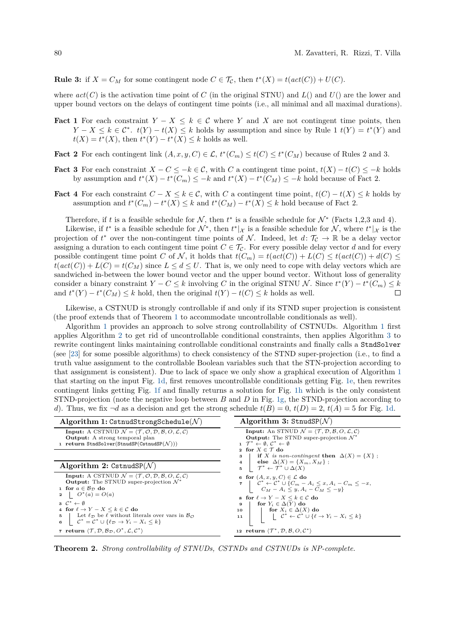**Rule 3:** if  $X = C_M$  for some contingent node  $C \in \mathcal{T}_C$ , then  $t^*(X) = t(\text{act}(C)) + U(C)$ .

where  $act(C)$  is the activation time point of *C* (in the original STNU) and  $L($ ) and  $U($ ) are the lower and upper bound vectors on the delays of contingent time points (i.e., all minimal and all maximal durations).

- **Fact 1** For each constraint  $Y X \leq k \in \mathcal{C}$  where *Y* and *X* are not contingent time points, then  $Y - X \leq k \in \mathcal{C}^*$ .  $t(Y) - t(X) \leq k$  holds by assumption and since by Rule 1  $t(Y) = t^*(Y)$  and  $t(X) = t^*(X)$ , then  $t^*(Y) - t^*(X) \leq k$  holds as well.
- **Fact 2** For each contingent link  $(A, x, y, C) \in \mathcal{L}$ ,  $t^*(C_m) \le t^*(C) \le t^*(C_M)$  because of Rules 2 and 3.
- **Fact 3** For each constraint  $X C \leq -k \in \mathcal{C}$ , with *C* a contingent time point,  $t(X) t(C) \leq -k$  holds by assumption and  $t^*(X) - t^*(C_m) \leq -k$  and  $t^*(X) - t^*(C_M) \leq -k$  hold because of Fact 2.
- **Fact 4** For each constraint  $C X \leq k \in \mathcal{C}$ , with *C* a contingent time point,  $t(C) t(X) \leq k$  holds by assumption and  $t^*(C_m) - t^*(X) \leq k$  and  $t^*(C_M) - t^*(X) \leq k$  hold because of Fact 2.

Therefore, if *t* is a feasible schedule for  $N$ , then  $t^*$  is a feasible schedule for  $N^*$  (Facts 1,2,3 and 4).

Likewise, if  $t^*$  is a feasible schedule for  $\mathcal{N}^*$ , then  $t^*|_{\mathcal{X}}$  is a feasible schedule for  $\mathcal{N}$ , where  $t^*|_{\mathcal{X}}$  is the projection of  $t^*$  over the non-contingent time points of N. Indeed, let  $d: \mathcal{T}_{\mathcal{C}} \to \mathbb{R}$  be a delay vector assigning a duration to each contingent time point  $C \in \mathcal{T}_{\mathcal{C}}$ . For every possible delay vector *d* and for every possible contingent time point *C* of *N*, it holds that  $t(C_m) = t(\text{act}(C)) + L(C) \leq t(\text{act}(C)) + d(C) \leq$  $t(act(C)) + L(C) = t(C_M)$  since  $L \leq d \leq U$ . That is, we only need to cope with delay vectors which are sandwiched in-between the lower bound vector and the upper bound vector. Without loss of generality consider a binary constraint  $Y - C \leq k$  involving *C* in the original STNU N. Since  $t^*(Y) - t^*(C_m) \leq k$ and  $t^*(Y) - t^*(C_M) \leq k$  hold, then the original  $t(Y) - t(C) \leq k$  holds as well.  $\Box$ 

Likewise, a CSTNUD is strongly controllable if and only if its STND super projection is consistent (the proof extends that of Theorem [1](#page-2-6) to accommodate uncontrollable conditionals as well).

Algorithm [1](#page-3-1) provides an approach to solve strong controllability of CSTNUDs. Algorithm [1](#page-3-1) first applies Algorithm [2](#page-3-2) to get rid of uncontrollable conditional constraints, then applies Algorithm [3](#page-3-0) to rewrite contingent links maintaining controllable conditional constraints and finally calls a StndSolver (see [\[23\]](#page-5-6) for some possible algorithms) to check consistency of the STND super-projection (i.e., to find a truth value assignment to the controllable Boolean variables such that the STN-projection according to that assignment is consistent). Due to lack of space we only show a graphical execution of Algorithm [1](#page-3-1) that starting on the input Fig. [1d,](#page-2-2) first removes uncontrollable conditionals getting Fig. [1e,](#page-2-3) then rewrites contingent links getting Fig. [1f](#page-2-4) and finally returns a solution for Fig. [1h](#page-2-7) which is the only consistent STND-projection (note the negative loop between *B* and *D* in Fig. [1g,](#page-2-8) the STND-projection according to *d*). Thus, we fix  $\neg d$  as a decision and get the strong schedule  $t(B) = 0$ ,  $t(D) = 2$ ,  $t(A) = 5$  for Fig. [1d.](#page-2-2)

<span id="page-3-2"></span><span id="page-3-1"></span><span id="page-3-0"></span>

| Algorithm 1: CstnudStrongSchedule( $N$ )                                                                                                                                                                                                                                                                                                                                                                                                                                                                                                           | Algorithm 3: StrudSP( $\mathcal{N}$ )                                                                                                                                                                                                                                                                                                                                                                                                                                                                                                        |
|----------------------------------------------------------------------------------------------------------------------------------------------------------------------------------------------------------------------------------------------------------------------------------------------------------------------------------------------------------------------------------------------------------------------------------------------------------------------------------------------------------------------------------------------------|----------------------------------------------------------------------------------------------------------------------------------------------------------------------------------------------------------------------------------------------------------------------------------------------------------------------------------------------------------------------------------------------------------------------------------------------------------------------------------------------------------------------------------------------|
| <b>Input:</b> A CSTNUD $\mathcal{N} = \langle \mathcal{T}, \mathcal{O}, \mathcal{D}, \mathcal{B}, O, \mathcal{L}, \mathcal{C} \rangle$<br><b>Output:</b> A strong temporal plan<br>1 return StndSolver(StnudSP(CstnudSP( $\mathcal{N}$ )))                                                                                                                                                                                                                                                                                                         | <b>Input:</b> An STNUD $\mathcal{N} = \langle \mathcal{T}, \mathcal{D}, \mathcal{B}, O, \mathcal{L}, \mathcal{C} \rangle$<br><b>Output:</b> The STND super-projection $\mathcal{N}^*$<br>$1 \mathcal{T}^* \leftarrow \emptyset$ , $\mathcal{C}^* \leftarrow \emptyset$<br>2 for $X \in \mathcal{T}$ do<br><b>if</b> X is non-contingent then $\Delta(X) = \{X\}$ ;<br>з                                                                                                                                                                      |
| Algorithm 2: CstnudSP $(N)$                                                                                                                                                                                                                                                                                                                                                                                                                                                                                                                        | 4   else $\Delta(X) = \{X_m, X_M\}$ ;<br>5 $\mathcal{T}^* \leftarrow \mathcal{T}^* \cup \Delta(X)$                                                                                                                                                                                                                                                                                                                                                                                                                                           |
| <b>Input:</b> A CSTNUD $\mathcal{N} = \langle \mathcal{T}, \mathcal{O}, \mathcal{D}, \mathcal{B}, O, \mathcal{L}, \mathcal{C} \rangle$<br><b>Output:</b> The STNUD super-projection $\mathcal{N}^*$<br>1 for $a \in B_{\mathcal{D}}$ do<br>2   $O^*(a) = O(a)$<br>$3 \quad C^* \leftarrow \emptyset$<br>4 for $\ell \to Y - X \leq k \in \mathcal{C}$ do<br>5 Let $\ell_{\mathcal{D}}$ be $\ell$ without literals over vars in $\mathcal{B}_{\mathcal{D}}$<br>6 $\mathcal{C}^* = \mathcal{C}^* \cup \{ \ell_{\mathcal{D}} \to Y_i - X_i \leq k \}$ | 6 for $(A, x, y, C) \in \mathcal{L}$ do<br>$7 \quad \begin{array}{c} \n\mathbf{7} \quad \begin{array}{c} \n\mathbf{2}^* \leftarrow \mathbf{C}^* \cup \{C_m - A_i \leq x, A_i - C_m \leq -x, \\ \nC_M - A_i \leq y, A_i - C_M \leq -y \n\end{array} \right\} \n\end{array}$<br>s for $\ell \to Y - X \leq k \in \mathcal{C}$ do<br>for $Y_i \in \Delta(Y)$ do<br>9<br>for $X_i \in \Delta(X)$ do<br>10<br>$ \qquad \qquad   \qquad {\mathcal C}^* \leftarrow {\mathcal C}^* \stackrel{.}{\cup} \{ \ell \rightarrow Y_i - X_i \leq k \}$<br>11 |
| 7 return $\langle \mathcal{T}, \mathcal{D}, \mathcal{B}_{\mathcal{D}}, O^*, \mathcal{L}, C^* \rangle$                                                                                                                                                                                                                                                                                                                                                                                                                                              | 12 return $\langle \mathcal{T}^*, \mathcal{D}, \mathcal{B}, O, \mathcal{C}^* \rangle$                                                                                                                                                                                                                                                                                                                                                                                                                                                        |

**Theorem 2.** *Strong controllability of STNUDs, CSTNDs and CSTNUDs is NP-complete.*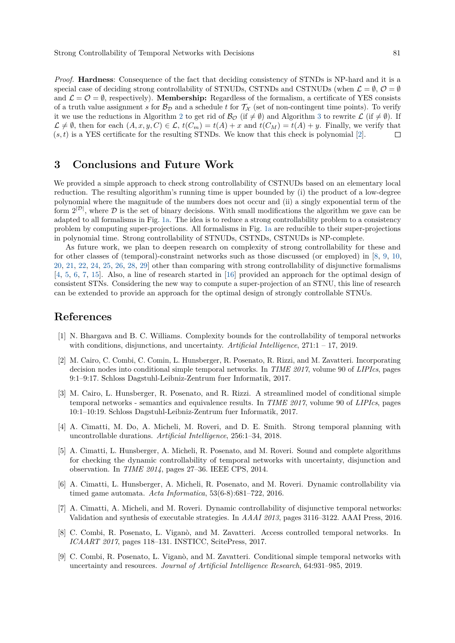Strong Controllability of Temporal Networks with Decisions 81

*Proof.* **Hardness**: Consequence of the fact that deciding consistency of STNDs is NP-hard and it is a special case of deciding strong controllability of STNUDs, CSTNDs and CSTNUDs (when  $\mathcal{L} = \emptyset$ ,  $\mathcal{O} = \emptyset$ and  $\mathcal{L} = \mathcal{O} = \emptyset$ , respectively). **Membership:** Regardless of the formalism, a certificate of YES consists of a truth value assignment *s* for  $\mathcal{B}_{\mathcal{D}}$  and a schedule *t* for  $\mathcal{T}_{\mathcal{X}}$  (set of non-contingent time points). To verify it we use the reductions in Algorithm [2](#page-3-2) to get rid of  $\mathcal{B}_{\mathcal{O}}$  (if  $\neq \emptyset$ ) and Algorithm [3](#page-3-0) to rewrite  $\mathcal{L}$  (if  $\neq \emptyset$ ). If  $\mathcal{L} \neq \emptyset$ , then for each  $(A, x, y, C) \in \mathcal{L}$ ,  $t(C_m) = t(A) + x$  and  $t(C_M) = t(A) + y$ . Finally, we verify that  $(s, t)$  is a YES certificate for the resulting STNDs. We know that this check is polynomial [\[2\]](#page-4-1).  $\Box$ 

### **3 Conclusions and Future Work**

We provided a simple approach to check strong controllability of CSTNUDs based on an elementary local reduction. The resulting algorithm's running time is upper bounded by (i) the product of a low-degree polynomial where the magnitude of the numbers does not occur and (ii) a singly exponential term of the form  $2^{|\mathcal{D}|}$ , where  $\mathcal D$  is the set of binary decisions. With small modifications the algorithm we gave can be adapted to all formalisms in Fig. [1a.](#page-2-0) The idea is to reduce a strong controllability problem to a consistency problem by computing super-projections. All formalisms in Fig. [1a](#page-2-0) are reducible to their super-projections in polynomial time. Strong controllability of STNUDs, CSTNDs, CSTNUDs is NP-complete.

As future work, we plan to deepen research on complexity of strong controllability for these and for other classes of (temporal)-constraint networks such as those discussed (or employed) in [\[8,](#page-4-3) [9,](#page-4-4) [10,](#page-5-7) [20,](#page-5-8) [21,](#page-5-9) [22,](#page-5-10) [24,](#page-5-11) [25,](#page-5-12) [26,](#page-5-13) [28,](#page-5-14) [29\]](#page-5-15) other than comparing with strong controllability of disjunctive formalisms [\[4,](#page-4-5) [5,](#page-4-6) [6,](#page-4-7) [7,](#page-4-8) [15\]](#page-5-16). Also, a line of research started in [\[16\]](#page-5-17) provided an approach for the optimal design of consistent STNs. Considering the new way to compute a super-projection of an STNU, this line of research can be extended to provide an approach for the optimal design of strongly controllable STNUs.

#### **References**

- <span id="page-4-2"></span>[1] N. Bhargava and B. C. Williams. Complexity bounds for the controllability of temporal networks with conditions, disjunctions, and uncertainty. *Artificial Intelligence*, 271:1 – 17, 2019.
- <span id="page-4-1"></span>[2] M. Cairo, C. Combi, C. Comin, L. Hunsberger, R. Posenato, R. Rizzi, and M. Zavatteri. Incorporating decision nodes into conditional simple temporal networks. In *TIME 2017*, volume 90 of *LIPIcs*, pages 9:1–9:17. Schloss Dagstuhl-Leibniz-Zentrum fuer Informatik, 2017.
- <span id="page-4-0"></span>[3] M. Cairo, L. Hunsberger, R. Posenato, and R. Rizzi. A streamlined model of conditional simple temporal networks - semantics and equivalence results. In *TIME 2017*, volume 90 of *LIPIcs*, pages 10:1–10:19. Schloss Dagstuhl-Leibniz-Zentrum fuer Informatik, 2017.
- <span id="page-4-5"></span>[4] A. Cimatti, M. Do, A. Micheli, M. Roveri, and D. E. Smith. Strong temporal planning with uncontrollable durations. *Artificial Intelligence*, 256:1–34, 2018.
- <span id="page-4-6"></span>[5] A. Cimatti, L. Hunsberger, A. Micheli, R. Posenato, and M. Roveri. Sound and complete algorithms for checking the dynamic controllability of temporal networks with uncertainty, disjunction and observation. In *TIME 2014*, pages 27–36. IEEE CPS, 2014.
- <span id="page-4-7"></span>[6] A. Cimatti, L. Hunsberger, A. Micheli, R. Posenato, and M. Roveri. Dynamic controllability via timed game automata. *Acta Informatica*, 53(6-8):681–722, 2016.
- <span id="page-4-8"></span>[7] A. Cimatti, A. Micheli, and M. Roveri. Dynamic controllability of disjunctive temporal networks: Validation and synthesis of executable strategies. In *AAAI 2013*, pages 3116–3122. AAAI Press, 2016.
- <span id="page-4-3"></span>[8] C. Combi, R. Posenato, L. Viganò, and M. Zavatteri. Access controlled temporal networks. In *ICAART 2017*, pages 118–131. INSTICC, ScitePress, 2017.
- <span id="page-4-4"></span>[9] C. Combi, R. Posenato, L. Viganò, and M. Zavatteri. Conditional simple temporal networks with uncertainty and resources. *Journal of Artificial Intelligence Research*, 64:931–985, 2019.